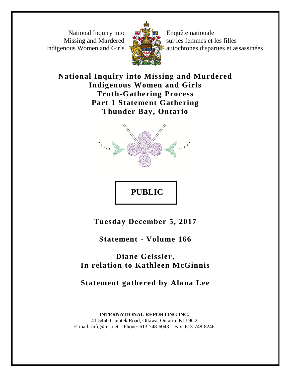National Inquiry into Missing and Murdered Indigenous Women and Girls



Enquête nationale sur les femmes et les filles autochtones disparues et assassinées

**National Inquiry into Missing and Murdered Indigenous Women and Girls Truth-Gathering Process Part 1 Statement Gathering Thunder Bay, Ontario**



**PUBLIC** 

**Tuesday December 5, 2017**

**Statement - Volume 166**

**Diane Geissler, In relation to Kathleen McGinnis**

**Statement gathered by Alana Lee**

**INTERNATIONAL REPORTING INC.** 41-5450 Canotek Road, Ottawa, Ontario, K1J 9G2 E-mail: info@irri.net – Phone: 613-748-6043 – Fax: 613-748-8246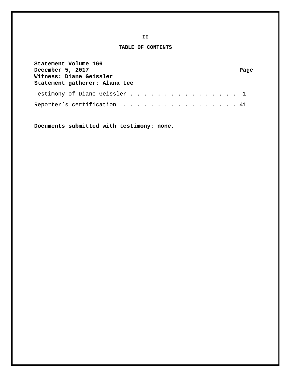**TABLE OF CONTENTS**

| Statement Volume 166<br>December 5, 2017<br>Witness: Diane Geissler<br>Statement gatherer: Alana Lee | Page |
|------------------------------------------------------------------------------------------------------|------|
| Testimony of Diane Geissler 1                                                                        |      |
| Reporter's certification 41                                                                          |      |

**Documents submitted with testimony: none.**

**II**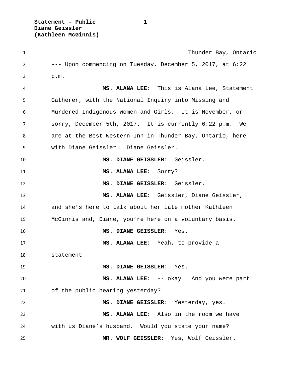**Statement – Public 1 Diane Geissler (Kathleen McGinnis)**

| $\mathbf{1}$   | Thunder Bay, Ontario                                      |
|----------------|-----------------------------------------------------------|
| $\overline{2}$ | --- Upon commencing on Tuesday, December 5, 2017, at 6:22 |
| 3              | p.m.                                                      |
| 4              | MS. ALANA LEE: This is Alana Lee, Statement               |
| 5              | Gatherer, with the National Inquiry into Missing and      |
| 6              | Murdered Indigenous Women and Girls. It is November, or   |
| 7              | sorry, December 5th, 2017. It is currently 6:22 p.m. We   |
| 8              | are at the Best Western Inn in Thunder Bay, Ontario, here |
| 9              | with Diane Geissler. Diane Geissler.                      |
| 10             | MS. DIANE GEISSLER: Geissler.                             |
| 11             | MS. ALANA LEE: Sorry?                                     |
| 12             | MS. DIANE GEISSLER: Geissler.                             |
| 13             | MS. ALANA LEE: Geissler, Diane Geissler,                  |
| 14             | and she's here to talk about her late mother Kathleen     |
| 15             | McGinnis and, Diane, you're here on a voluntary basis.    |
| 16             | MS. DIANE GEISSLER:<br>Yes.                               |
| 17             | MS. ALANA LEE: Yeah, to provide a                         |
| 18             | statement --                                              |
| 19             | MS. DIANE GEISSLER: Yes.                                  |
| 20             | MS. ALANA LEE: -- okay. And you were part                 |
| 21             | of the public hearing yesterday?                          |
| 22             | MS. DIANE GEISSLER: Yesterday, yes.                       |
| 23             | MS. ALANA LEE: Also in the room we have                   |
| 24             | with us Diane's husband. Would you state your name?       |
| 25             | MR. WOLF GEISSLER: Yes, Wolf Geissler.                    |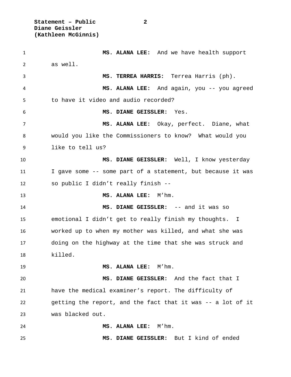**Statement – Public 2 Diane Geissler (Kathleen McGinnis)**

 **MS. ALANA LEE:** And we have health support as well. **MS. TERREA HARRIS:** Terrea Harris (ph). **MS. ALANA LEE:** And again, you -- you agreed to have it video and audio recorded? **MS. DIANE GEISSLER:** Yes. **MS. ALANA LEE:** Okay, perfect. Diane, what would you like the Commissioners to know? What would you like to tell us? **MS. DIANE GEISSLER:** Well, I know yesterday I gave some -- some part of a statement, but because it was so public I didn't really finish -- **MS. ALANA LEE:** M'hm. **MS. DIANE GEISSLER:** -- and it was so emotional I didn't get to really finish my thoughts. I worked up to when my mother was killed, and what she was doing on the highway at the time that she was struck and killed. **MS. ALANA LEE:** M'hm. **MS. DIANE GEISSLER:** And the fact that I have the medical examiner's report. The difficulty of getting the report, and the fact that it was -- a lot of it was blacked out. **MS. ALANA LEE:** M'hm. **MS. DIANE GEISSLER:** But I kind of ended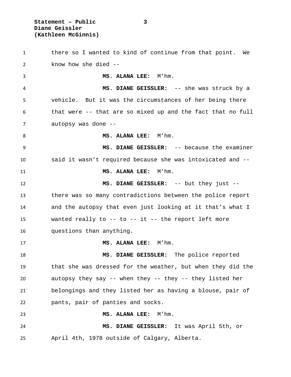**Statement – Public 3 Diane Geissler (Kathleen McGinnis)**

 there so I wanted to kind of continue from that point. We know how she died -- **MS. ALANA LEE:** M'hm. **MS. DIANE GEISSLER:** -- she was struck by a vehicle. But it was the circumstances of her being there that were -- that are so mixed up and the fact that no full autopsy was done -- 8 MS. ALANA LEE: M'hm. **MS. DIANE GEISSLER:** -- because the examiner said it wasn't required because she was intoxicated and -- **MS. ALANA LEE:** M'hm. **MS. DIANE GEISSLER:** -- but they just -- there was so many contradictions between the police report and the autopsy that even just looking at it that's what I wanted really to -- to -- it -- the report left more questions than anything. **MS. ALANA LEE:** M'hm. **MS. DIANE GEISSLER:** The police reported that she was dressed for the weather, but when they did the autopsy they say -- when they -- they -- they listed her belongings and they listed her as having a blouse, pair of pants, pair of panties and socks. **MS. ALANA LEE:** M'hm. **MS. DIANE GEISSLER:** It was April 5th, or April 4th, 1978 outside of Calgary, Alberta.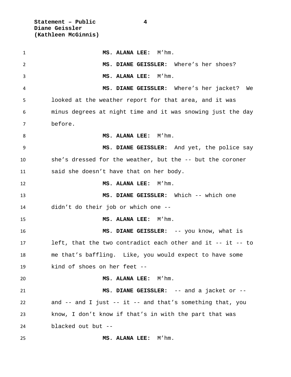**Statement – Public 4 Diane Geissler (Kathleen McGinnis)**

 **MS. ALANA LEE:** M'hm. **MS. DIANE GEISSLER:** Where's her shoes? **MS. ALANA LEE:** M'hm. **MS. DIANE GEISSLER:** Where's her jacket? We looked at the weather report for that area, and it was minus degrees at night time and it was snowing just the day before. **MS. ALANA LEE:** M'hm. **MS. DIANE GEISSLER:** And yet, the police say she's dressed for the weather, but the -- but the coroner said she doesn't have that on her body. **MS. ALANA LEE:** M'hm. **MS. DIANE GEISSLER:** Which -- which one didn't do their job or which one -- **MS. ALANA LEE:** M'hm. **MS. DIANE GEISSLER:** -- you know, what is left, that the two contradict each other and it -- it -- to me that's baffling. Like, you would expect to have some kind of shoes on her feet -- **MS. ALANA LEE:** M'hm. **MS. DIANE GEISSLER:** -- and a jacket or -- and -- and I just -- it -- and that's something that, you know, I don't know if that's in with the part that was blacked out but -- **MS. ALANA LEE:** M'hm.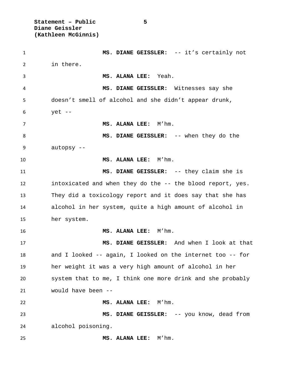**Statement – Public 5 Diane Geissler (Kathleen McGinnis)**

 **MS. DIANE GEISSLER:** -- it's certainly not in there. **MS. ALANA LEE:** Yeah. **MS. DIANE GEISSLER:** Witnesses say she doesn't smell of alcohol and she didn't appear drunk, yet -- **MS. ALANA LEE:** M'hm. **MS. DIANE GEISSLER:** -- when they do the autopsy -- **MS. ALANA LEE:** M'hm. **MS. DIANE GEISSLER:** -- they claim she is intoxicated and when they do the -- the blood report, yes. They did a toxicology report and it does say that she has alcohol in her system, quite a high amount of alcohol in her system. **MS. ALANA LEE:** M'hm. **MS. DIANE GEISSLER:** And when I look at that and I looked -- again, I looked on the internet too -- for her weight it was a very high amount of alcohol in her system that to me, I think one more drink and she probably would have been -- **MS. ALANA LEE:** M'hm. **MS. DIANE GEISSLER:** -- you know, dead from alcohol poisoning. **MS. ALANA LEE:** M'hm.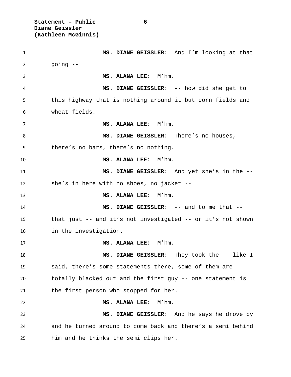**Statement – Public 6 Diane Geissler (Kathleen McGinnis)**

 **MS. DIANE GEISSLER:** And I'm looking at that going -- **MS. ALANA LEE:** M'hm. **MS. DIANE GEISSLER:** -- how did she get to this highway that is nothing around it but corn fields and wheat fields. **MS. ALANA LEE:** M'hm. 8 MS. DIANE GEISSLER: There's no houses, there's no bars, there's no nothing. **MS. ALANA LEE:** M'hm. **MS. DIANE GEISSLER:** And yet she's in the -- she's in here with no shoes, no jacket -- **MS. ALANA LEE:** M'hm. **MS. DIANE GEISSLER:** -- and to me that -- that just -- and it's not investigated -- or it's not shown in the investigation. **MS. ALANA LEE:** M'hm. **MS. DIANE GEISSLER:** They took the -- like I said, there's some statements there, some of them are totally blacked out and the first guy -- one statement is the first person who stopped for her. **MS. ALANA LEE:** M'hm. **MS. DIANE GEISSLER:** And he says he drove by and he turned around to come back and there's a semi behind him and he thinks the semi clips her.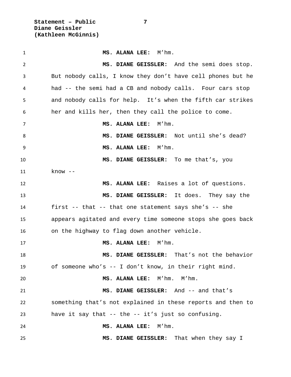**Statement – Public 7 Diane Geissler (Kathleen McGinnis)**

 **MS. ALANA LEE:** M'hm. **MS. DIANE GEISSLER:** And the semi does stop. But nobody calls, I know they don't have cell phones but he had -- the semi had a CB and nobody calls. Four cars stop and nobody calls for help. It's when the fifth car strikes her and kills her, then they call the police to come. **MS. ALANA LEE:** M'hm. **MS. DIANE GEISSLER:** Not until she's dead? **MS. ALANA LEE:** M'hm. **MS. DIANE GEISSLER:** To me that's, you know -- **MS. ALANA LEE:** Raises a lot of questions. **MS. DIANE GEISSLER:** It does. They say the first -- that -- that one statement says she's -- she appears agitated and every time someone stops she goes back on the highway to flag down another vehicle. **MS. ALANA LEE:** M'hm. **MS. DIANE GEISSLER:** That's not the behavior of someone who's -- I don't know, in their right mind. **MS. ALANA LEE:** M'hm. M'hm. **MS. DIANE GEISSLER:** And -- and that's something that's not explained in these reports and then to have it say that -- the -- it's just so confusing. **MS. ALANA LEE:** M'hm. **MS. DIANE GEISSLER:** That when they say I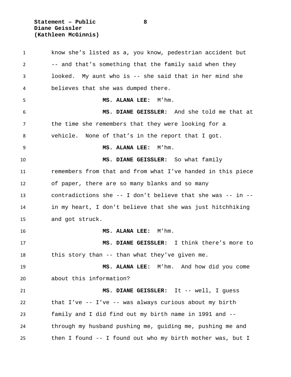**Statement – Public 8 Diane Geissler (Kathleen McGinnis)**

 know she's listed as a, you know, pedestrian accident but -- and that's something that the family said when they looked. My aunt who is -- she said that in her mind she believes that she was dumped there. **MS. ALANA LEE:** M'hm. **MS. DIANE GEISSLER:** And she told me that at the time she remembers that they were looking for a vehicle. None of that's in the report that I got. **MS. ALANA LEE:** M'hm. **MS. DIANE GEISSLER:** So what family remembers from that and from what I've handed in this piece of paper, there are so many blanks and so many contradictions she -- I don't believe that she was -- in -- in my heart, I don't believe that she was just hitchhiking and got struck. **MS. ALANA LEE:** M'hm. **MS. DIANE GEISSLER:** I think there's more to this story than -- than what they've given me. **MS. ALANA LEE:** M'hm. And how did you come about this information? **MS. DIANE GEISSLER:** It -- well, I guess that I've -- I've -- was always curious about my birth family and I did find out my birth name in 1991 and -- through my husband pushing me, guiding me, pushing me and then I found -- I found out who my birth mother was, but I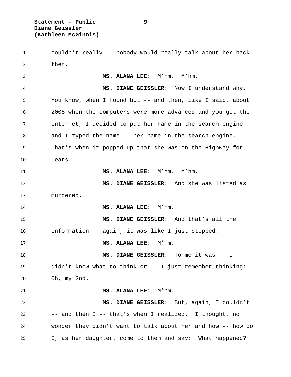couldn't really -- nobody would really talk about her back then.

 **MS. ALANA LEE:** M'hm. M'hm. **MS. DIANE GEISSLER:** Now I understand why. You know, when I found but -- and then, like I said, about 2005 when the computers were more advanced and you got the internet, I decided to put her name in the search engine and I typed the name -- her name in the search engine. That's when it popped up that she was on the Highway for Tears. **MS. ALANA LEE:** M'hm. M'hm. **MS. DIANE GEISSLER:** And she was listed as murdered. **MS. ALANA LEE:** M'hm. **MS. DIANE GEISSLER:** And that's all the information -- again, it was like I just stopped. **MS. ALANA LEE:** M'hm. **MS. DIANE GEISSLER:** To me it was -- I didn't know what to think or -- I just remember thinking: Oh, my God. **MS. ALANA LEE:** M'hm. **MS. DIANE GEISSLER:** But, again, I couldn't -- and then I -- that's when I realized. I thought, no wonder they didn't want to talk about her and how -- how do

I, as her daughter, come to them and say: What happened?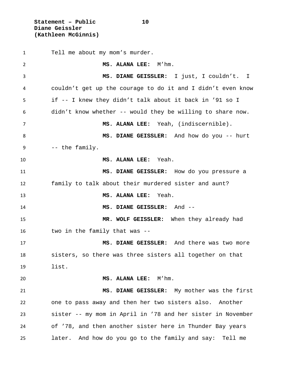**Statement – Public 10 Diane Geissler (Kathleen McGinnis)**

 Tell me about my mom's murder. **MS. ALANA LEE:** M'hm. **MS. DIANE GEISSLER:** I just, I couldn't. I couldn't get up the courage to do it and I didn't even know if -- I knew they didn't talk about it back in '91 so I didn't know whether -- would they be willing to share now. **MS. ALANA LEE:** Yeah, (indiscernible). **MS. DIANE GEISSLER:** And how do you -- hurt -- the family. **MS. ALANA LEE:** Yeah. **MS. DIANE GEISSLER:** How do you pressure a family to talk about their murdered sister and aunt? **MS. ALANA LEE:** Yeah. **MS. DIANE GEISSLER:** And -- **MR. WOLF GEISSLER:** When they already had two in the family that was -- **MS. DIANE GEISSLER:** And there was two more sisters, so there was three sisters all together on that list. **MS. ALANA LEE:** M'hm. **MS. DIANE GEISSLER:** My mother was the first one to pass away and then her two sisters also. Another sister -- my mom in April in '78 and her sister in November of '78, and then another sister here in Thunder Bay years later. And how do you go to the family and say: Tell me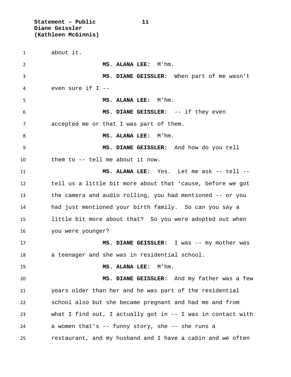**Statement – Public 11 Diane Geissler (Kathleen McGinnis)**

 about it. **MS. ALANA LEE:** M'hm. **MS. DIANE GEISSLER:** When part of me wasn't even sure if I -- **MS. ALANA LEE:** M'hm. **MS. DIANE GEISSLER:** -- if they even accepted me or that I was part of them. 8 MS. ALANA LEE: M'hm. **MS. DIANE GEISSLER:** And how do you tell them to -- tell me about it now. **MS. ALANA LEE:** Yes. Let me ask -- tell -- tell us a little bit more about that 'cause, before we got the camera and audio rolling, you had mentioned -- or you had just mentioned your birth family. So can you say a little bit more about that? So you were adopted out when you were younger? **MS. DIANE GEISSLER:** I was -- my mother was a teenager and she was in residential school. **MS. ALANA LEE:** M'hm. **MS. DIANE GEISSLER:** And my father was a few years older than her and he was part of the residential school also but she became pregnant and had me and from what I find out, I actually got in -- I was in contact with a women that's -- funny story, she -- she runs a restaurant, and my husband and I have a cabin and we often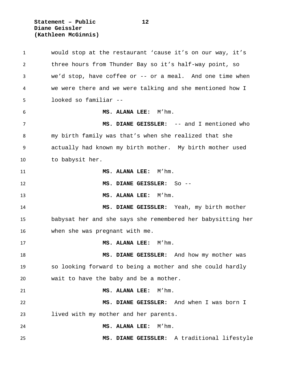**Statement – Public 12 Diane Geissler (Kathleen McGinnis)**

 would stop at the restaurant 'cause it's on our way, it's three hours from Thunder Bay so it's half-way point, so we'd stop, have coffee or -- or a meal. And one time when we were there and we were talking and she mentioned how I looked so familiar -- **MS. ALANA LEE:** M'hm. **MS. DIANE GEISSLER:** -- and I mentioned who my birth family was that's when she realized that she actually had known my birth mother. My birth mother used to babysit her. **MS. ALANA LEE:** M'hm. **MS. DIANE GEISSLER:** So -- **MS. ALANA LEE:** M'hm. **MS. DIANE GEISSLER:** Yeah, my birth mother babysat her and she says she remembered her babysitting her when she was pregnant with me. **MS. ALANA LEE:** M'hm. **MS. DIANE GEISSLER:** And how my mother was so looking forward to being a mother and she could hardly wait to have the baby and be a mother. **MS. ALANA LEE:** M'hm. **MS. DIANE GEISSLER:** And when I was born I lived with my mother and her parents. **MS. ALANA LEE:** M'hm. **MS. DIANE GEISSLER:** A traditional lifestyle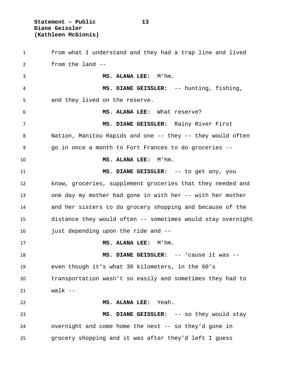**Statement – Public 13 Diane Geissler (Kathleen McGinnis)**

 from what I understand and they had a trap line and lived from the land -- **MS. ALANA LEE:** M'hm. **MS. DIANE GEISSLER:** -- hunting, fishing, and they lived on the reserve. **MS. ALANA LEE:** What reserve? **MS. DIANE GEISSLER:** Rainy River First 8 Nation, Manitou Rapids and one -- they -- they would often go in once a month to Fort Frances to do groceries -- **MS. ALANA LEE:** M'hm. **MS. DIANE GEISSLER:** -- to get any, you know, groceries, supplement groceries that they needed and 13 one day my mother had gone in with her -- with her mother and her sisters to do grocery shopping and because of the distance they would often -- sometimes would stay overnight just depending upon the ride and -- **MS. ALANA LEE:** M'hm. **MS. DIANE GEISSLER:** -- 'cause it was -- even though it's what 30 kilometers, in the 60's transportation wasn't so easily and sometimes they had to walk -- **MS. ALANA LEE:** Yeah. **MS. DIANE GEISSLER:** -- so they would stay overnight and come home the next -- so they'd gone in grocery shopping and it was after they'd left I guess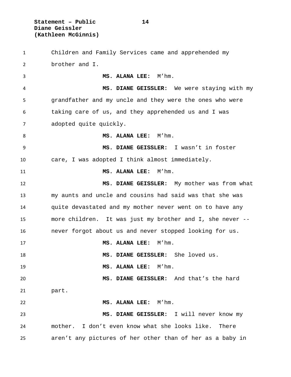**Statement – Public 14 Diane Geissler (Kathleen McGinnis)**

 Children and Family Services came and apprehended my brother and I. **MS. ALANA LEE:** M'hm. **MS. DIANE GEISSLER:** We were staying with my grandfather and my uncle and they were the ones who were taking care of us, and they apprehended us and I was adopted quite quickly. 8 MS. ALANA LEE: M'hm. **MS. DIANE GEISSLER:** I wasn't in foster care, I was adopted I think almost immediately. **MS. ALANA LEE:** M'hm. **MS. DIANE GEISSLER:** My mother was from what my aunts and uncle and cousins had said was that she was quite devastated and my mother never went on to have any more children. It was just my brother and I, she never -- never forgot about us and never stopped looking for us. **MS. ALANA LEE:** M'hm. **MS. DIANE GEISSLER:** She loved us. **MS. ALANA LEE:** M'hm. **MS. DIANE GEISSLER:** And that's the hard part. **MS. ALANA LEE:** M'hm. **MS. DIANE GEISSLER:** I will never know my mother. I don't even know what she looks like. There aren't any pictures of her other than of her as a baby in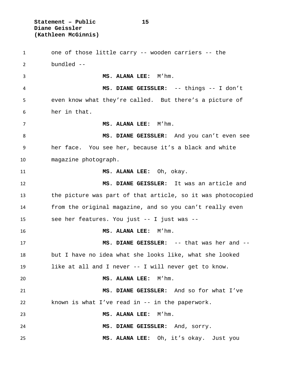**Statement – Public 15 Diane Geissler (Kathleen McGinnis)**

 one of those little carry -- wooden carriers -- the bundled -- **MS. ALANA LEE:** M'hm. **MS. DIANE GEISSLER:** -- things -- I don't even know what they're called. But there's a picture of her in that. **MS. ALANA LEE:** M'hm. **MS. DIANE GEISSLER:** And you can't even see her face. You see her, because it's a black and white magazine photograph. **MS. ALANA LEE:** Oh, okay. **MS. DIANE GEISSLER:** It was an article and the picture was part of that article, so it was photocopied from the original magazine, and so you can't really even see her features. You just -- I just was -- **MS. ALANA LEE:** M'hm. **MS. DIANE GEISSLER:** -- that was her and -- but I have no idea what she looks like, what she looked like at all and I never -- I will never get to know. **MS. ALANA LEE:** M'hm. **MS. DIANE GEISSLER:** And so for what I've known is what I've read in -- in the paperwork. **MS. ALANA LEE:** M'hm. **MS. DIANE GEISSLER:** And, sorry. **MS. ALANA LEE:** Oh, it's okay. Just you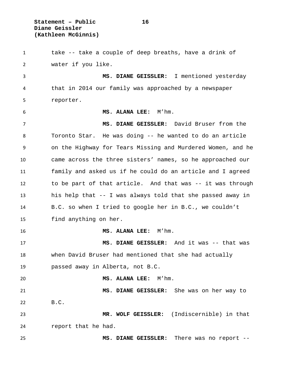**Statement – Public 16 Diane Geissler (Kathleen McGinnis)**

 take -- take a couple of deep breaths, have a drink of water if you like. **MS. DIANE GEISSLER:** I mentioned yesterday that in 2014 our family was approached by a newspaper reporter. **MS. ALANA LEE:** M'hm. **MS. DIANE GEISSLER:** David Bruser from the Toronto Star. He was doing -- he wanted to do an article on the Highway for Tears Missing and Murdered Women, and he came across the three sisters' names, so he approached our family and asked us if he could do an article and I agreed to be part of that article. And that was -- it was through his help that -- I was always told that she passed away in B.C. so when I tried to google her in B.C., we couldn't find anything on her. **MS. ALANA LEE:** M'hm. **MS. DIANE GEISSLER:** And it was -- that was when David Bruser had mentioned that she had actually passed away in Alberta, not B.C. **MS. ALANA LEE:** M'hm. **MS. DIANE GEISSLER:** She was on her way to B.C. **MR. WOLF GEISSLER:** (Indiscernible) in that report that he had. **MS. DIANE GEISSLER:** There was no report --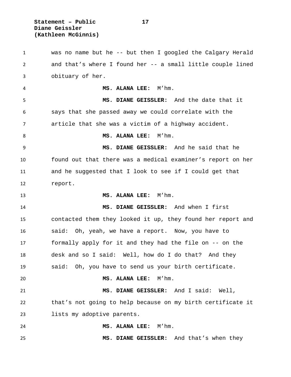**Statement – Public 17 Diane Geissler (Kathleen McGinnis)**

 was no name but he -- but then I googled the Calgary Herald and that's where I found her -- a small little couple lined obituary of her. **MS. ALANA LEE:** M'hm. **MS. DIANE GEISSLER:** And the date that it says that she passed away we could correlate with the article that she was a victim of a highway accident. 8 MS. ALANA LEE: M'hm. **MS. DIANE GEISSLER:** And he said that he found out that there was a medical examiner's report on her and he suggested that I look to see if I could get that report. **MS. ALANA LEE:** M'hm. **MS. DIANE GEISSLER:** And when I first contacted them they looked it up, they found her report and said: Oh, yeah, we have a report. Now, you have to formally apply for it and they had the file on -- on the desk and so I said: Well, how do I do that? And they said: Oh, you have to send us your birth certificate. **MS. ALANA LEE:** M'hm. **MS. DIANE GEISSLER:** And I said: Well, that's not going to help because on my birth certificate it lists my adoptive parents. **MS. ALANA LEE:** M'hm. **MS. DIANE GEISSLER:** And that's when they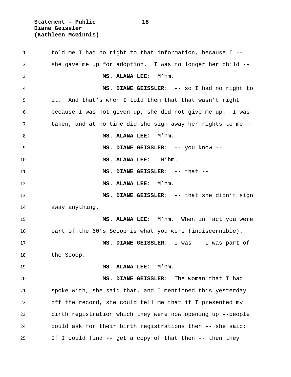**Statement – Public 18 Diane Geissler (Kathleen McGinnis)**

 told me I had no right to that information, because I -- she gave me up for adoption. I was no longer her child -- **MS. ALANA LEE:** M'hm. **MS. DIANE GEISSLER:** -- so I had no right to it. And that's when I told them that that wasn't right because I was not given up, she did not give me up. I was taken, and at no time did she sign away her rights to me -- **MS. ALANA LEE:** M'hm. **MS. DIANE GEISSLER:** -- you know -- **MS. ALANA LEE:** M'hm. **MS. DIANE GEISSLER:** -- that -- **MS. ALANA LEE:** M'hm. **MS. DIANE GEISSLER:** -- that she didn't sign away anything. **MS. ALANA LEE:** M'hm. When in fact you were part of the 60's Scoop is what you were (indiscernible). **MS. DIANE GEISSLER:** I was -- I was part of the Scoop. **MS. ALANA LEE:** M'hm. **MS. DIANE GEISSLER:** The woman that I had spoke with, she said that, and I mentioned this yesterday off the record, she could tell me that if I presented my birth registration which they were now opening up --people could ask for their birth registrations then -- she said: If I could find -- get a copy of that then -- then they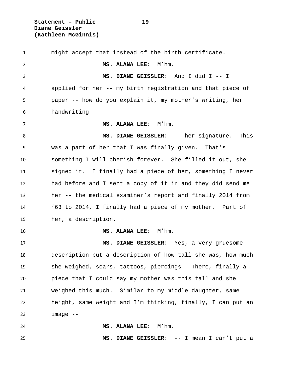**Statement – Public 19 Diane Geissler (Kathleen McGinnis)**

 might accept that instead of the birth certificate. **MS. ALANA LEE:** M'hm. **MS. DIANE GEISSLER:** And I did I -- I applied for her -- my birth registration and that piece of paper -- how do you explain it, my mother's writing, her handwriting -- **MS. ALANA LEE:** M'hm. **MS. DIANE GEISSLER:** -- her signature. This was a part of her that I was finally given. That's something I will cherish forever. She filled it out, she signed it. I finally had a piece of her, something I never had before and I sent a copy of it in and they did send me her -- the medical examiner's report and finally 2014 from '63 to 2014, I finally had a piece of my mother. Part of her, a description. **MS. ALANA LEE:** M'hm. **MS. DIANE GEISSLER:** Yes, a very gruesome description but a description of how tall she was, how much she weighed, scars, tattoos, piercings. There, finally a piece that I could say my mother was this tall and she weighed this much. Similar to my middle daughter, same height, same weight and I'm thinking, finally, I can put an image  $-$  **MS. ALANA LEE:** M'hm. **MS. DIANE GEISSLER:** -- I mean I can't put a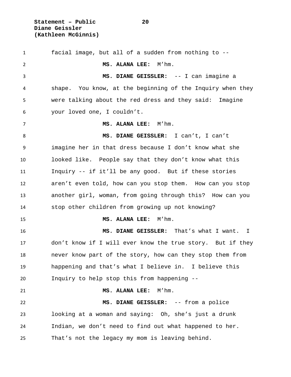**Statement – Public 20 Diane Geissler (Kathleen McGinnis)**

 facial image, but all of a sudden from nothing to -- **MS. ALANA LEE:** M'hm. **MS. DIANE GEISSLER:** -- I can imagine a shape. You know, at the beginning of the Inquiry when they were talking about the red dress and they said: Imagine your loved one, I couldn't. **MS. ALANA LEE:** M'hm. **MS. DIANE GEISSLER:** I can't, I can't imagine her in that dress because I don't know what she looked like. People say that they don't know what this Inquiry -- if it'll be any good. But if these stories aren't even told, how can you stop them. How can you stop another girl, woman, from going through this? How can you stop other children from growing up not knowing? **MS. ALANA LEE:** M'hm. **MS. DIANE GEISSLER:** That's what I want. I don't know if I will ever know the true story. But if they never know part of the story, how can they stop them from happening and that's what I believe in. I believe this Inquiry to help stop this from happening -- **MS. ALANA LEE:** M'hm. **MS. DIANE GEISSLER:** -- from a police looking at a woman and saying: Oh, she's just a drunk Indian, we don't need to find out what happened to her. That's not the legacy my mom is leaving behind.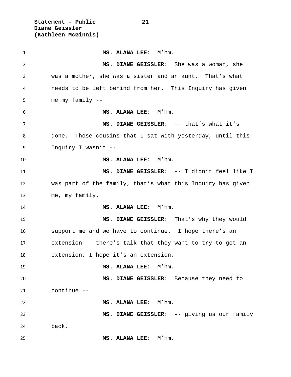**Statement – Public 21 Diane Geissler (Kathleen McGinnis)**

 **MS. ALANA LEE:** M'hm. **MS. DIANE GEISSLER:** She was a woman, she was a mother, she was a sister and an aunt. That's what needs to be left behind from her. This Inquiry has given me my family -- **MS. ALANA LEE:** M'hm. **MS. DIANE GEISSLER:** -- that's what it's done. Those cousins that I sat with yesterday, until this Inquiry I wasn't -- **MS. ALANA LEE:** M'hm. **MS. DIANE GEISSLER:** -- I didn't feel like I was part of the family, that's what this Inquiry has given me, my family. **MS. ALANA LEE:** M'hm. **MS. DIANE GEISSLER:** That's why they would support me and we have to continue. I hope there's an extension -- there's talk that they want to try to get an extension, I hope it's an extension. **MS. ALANA LEE:** M'hm. **MS. DIANE GEISSLER:** Because they need to continue -- **MS. ALANA LEE:** M'hm. **MS. DIANE GEISSLER:** -- giving us our family back. **MS. ALANA LEE:** M'hm.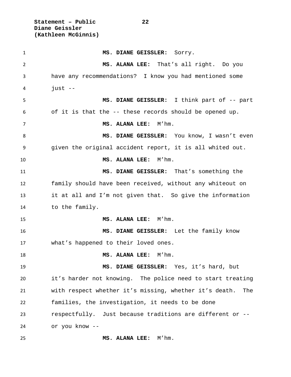**Statement – Public 22 Diane Geissler (Kathleen McGinnis)**

 **MS. DIANE GEISSLER:** Sorry. **MS. ALANA LEE:** That's all right. Do you have any recommendations? I know you had mentioned some  $4 \quad \text{just --}$  **MS. DIANE GEISSLER:** I think part of -- part of it is that the -- these records should be opened up. **MS. ALANA LEE:** M'hm. 8 MS. DIANE GEISSLER: You know, I wasn't even given the original accident report, it is all whited out. **MS. ALANA LEE:** M'hm. **MS. DIANE GEISSLER:** That's something the family should have been received, without any whiteout on it at all and I'm not given that. So give the information to the family. **MS. ALANA LEE:** M'hm. **MS. DIANE GEISSLER:** Let the family know what's happened to their loved ones. **MS. ALANA LEE:** M'hm. **MS. DIANE GEISSLER:** Yes, it's hard, but it's harder not knowing. The police need to start treating with respect whether it's missing, whether it's death. The families, the investigation, it needs to be done respectfully. Just because traditions are different or -- or you know -- **MS. ALANA LEE:** M'hm.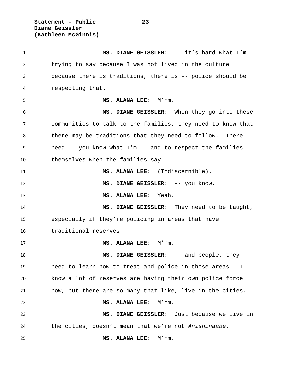**Statement – Public 23 Diane Geissler (Kathleen McGinnis)**

 **MS. DIANE GEISSLER:** -- it's hard what I'm trying to say because I was not lived in the culture because there is traditions, there is -- police should be respecting that. **MS. ALANA LEE:** M'hm. **MS. DIANE GEISSLER:** When they go into these communities to talk to the families, they need to know that there may be traditions that they need to follow. There need -- you know what I'm -- and to respect the families themselves when the families say -- **MS. ALANA LEE:** (Indiscernible). **MS. DIANE GEISSLER:** -- you know. **MS. ALANA LEE:** Yeah. **MS. DIANE GEISSLER:** They need to be taught, especially if they're policing in areas that have traditional reserves -- **MS. ALANA LEE:** M'hm. **MS. DIANE GEISSLER:** -- and people, they need to learn how to treat and police in those areas. I know a lot of reserves are having their own police force now, but there are so many that like, live in the cities. **MS. ALANA LEE:** M'hm. **MS. DIANE GEISSLER:** Just because we live in the cities, doesn't mean that we're not *Anishinaabe.* **MS. ALANA LEE:** M'hm.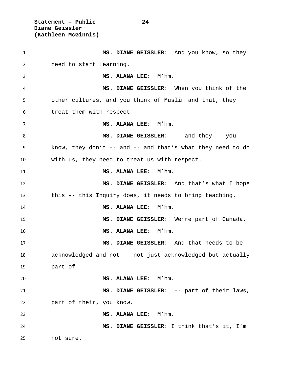**Statement – Public 24 Diane Geissler (Kathleen McGinnis)**

 **MS. DIANE GEISSLER:** And you know, so they need to start learning. **MS. ALANA LEE:** M'hm. **MS. DIANE GEISSLER:** When you think of the other cultures, and you think of Muslim and that, they treat them with respect -- **MS. ALANA LEE:** M'hm. **MS. DIANE GEISSLER:** -- and they -- you know, they don't -- and -- and that's what they need to do with us, they need to treat us with respect. **MS. ALANA LEE:** M'hm. **MS. DIANE GEISSLER:** And that's what I hope this -- this Inquiry does, it needs to bring teaching. **MS. ALANA LEE:** M'hm. **MS. DIANE GEISSLER:** We're part of Canada. **MS. ALANA LEE:** M'hm. **MS. DIANE GEISSLER:** And that needs to be acknowledged and not -- not just acknowledged but actually part of -- **MS. ALANA LEE:** M'hm. **MS. DIANE GEISSLER:** -- part of their laws, part of their, you know. **MS. ALANA LEE:** M'hm. **MS. DIANE GEISSLER:** I think that's it, I'm not sure.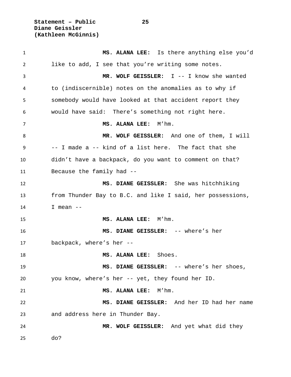**Statement – Public 25 Diane Geissler (Kathleen McGinnis)**

 **MS. ALANA LEE:** Is there anything else you'd like to add, I see that you're writing some notes. **MR. WOLF GEISSLER:** I -- I know she wanted to (indiscernible) notes on the anomalies as to why if somebody would have looked at that accident report they would have said: There's something not right here. **MS. ALANA LEE:** M'hm. **MR. WOLF GEISSLER:** And one of them, I will -- I made a -- kind of a list here. The fact that she didn't have a backpack, do you want to comment on that? Because the family had -- **MS. DIANE GEISSLER:** She was hitchhiking from Thunder Bay to B.C. and like I said, her possessions, I mean -- **MS. ALANA LEE:** M'hm. **MS. DIANE GEISSLER:** -- where's her backpack, where's her -- **MS. ALANA LEE:** Shoes. **MS. DIANE GEISSLER:** -- where's her shoes, you know, where's her -- yet, they found her ID. **MS. ALANA LEE:** M'hm. **MS. DIANE GEISSLER:** And her ID had her name and address here in Thunder Bay. **MR. WOLF GEISSLER:** And yet what did they do?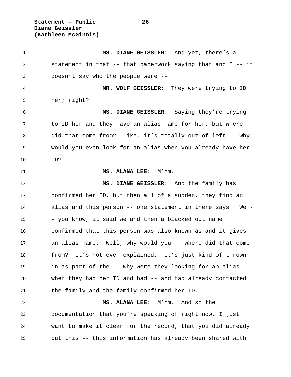**Statement – Public 26 Diane Geissler (Kathleen McGinnis)**

 **MS. DIANE GEISSLER:** And yet, there's a statement in that -- that paperwork saying that and I -- it doesn't say who the people were -- **MR. WOLF GEISSLER:** They were trying to ID her; right? **MS. DIANE GEISSLER:** Saying they're trying to ID her and they have an alias name for her, but where did that come from? Like, it's totally out of left -- why would you even look for an alias when you already have her ID? **MS. ALANA LEE:** M'hm. **MS. DIANE GEISSLER:** And the family has confirmed her ID, but then all of a sudden, they find an alias and this person -- one statement in there says: We - - you know, it said we and then a blacked out name confirmed that this person was also known as and it gives an alias name. Well, why would you -- where did that come from? It's not even explained. It's just kind of thrown in as part of the -- why were they looking for an alias when they had her ID and had -- and had already contacted the family and the family confirmed her ID. **MS. ALANA LEE:** M'hm. And so the documentation that you're speaking of right now, I just want to make it clear for the record, that you did already put this -- this information has already been shared with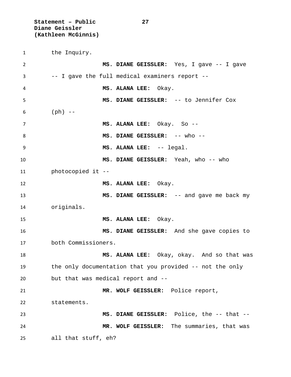**Statement – Public 27 Diane Geissler (Kathleen McGinnis)**

the Inquiry.

 **MS. DIANE GEISSLER:** Yes, I gave -- I gave -- I gave the full medical examiners report -- **MS. ALANA LEE:** Okay. **MS. DIANE GEISSLER:** -- to Jennifer Cox 6 (ph)  $--$  **MS. ALANA LEE:** Okay. So -- **MS. DIANE GEISSLER:** -- who -- **MS. ALANA LEE:** -- legal. **MS. DIANE GEISSLER:** Yeah, who -- who photocopied it -- **MS. ALANA LEE:** Okay. **MS. DIANE GEISSLER:** -- and gave me back my originals. **MS. ALANA LEE:** Okay. **MS. DIANE GEISSLER:** And she gave copies to both Commissioners. **MS. ALANA LEE:** Okay, okay. And so that was the only documentation that you provided -- not the only but that was medical report and -- **MR. WOLF GEISSLER:** Police report, statements. **MS. DIANE GEISSLER:** Police, the -- that -- **MR. WOLF GEISSLER:** The summaries, that was all that stuff, eh?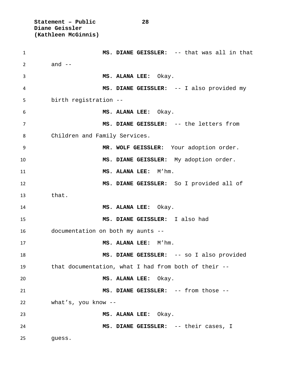**Statement – Public 28 Diane Geissler (Kathleen McGinnis)**

 **MS. DIANE GEISSLER:** -- that was all in that 2 and  $-$  **MS. ALANA LEE:** Okay. **MS. DIANE GEISSLER:** -- I also provided my birth registration -- **MS. ALANA LEE:** Okay. **MS. DIANE GEISSLER:** -- the letters from Children and Family Services. **MR. WOLF GEISSLER:** Your adoption order. **MS. DIANE GEISSLER:** My adoption order. **MS. ALANA LEE:** M'hm. **MS. DIANE GEISSLER:** So I provided all of that. **MS. ALANA LEE:** Okay. **MS. DIANE GEISSLER:** I also had documentation on both my aunts -- **MS. ALANA LEE:** M'hm. **MS. DIANE GEISSLER:** -- so I also provided that documentation, what I had from both of their -- **MS. ALANA LEE:** Okay. **MS. DIANE GEISSLER:** -- from those -- what's, you know -- **MS. ALANA LEE:** Okay. **MS. DIANE GEISSLER:** -- their cases, I guess.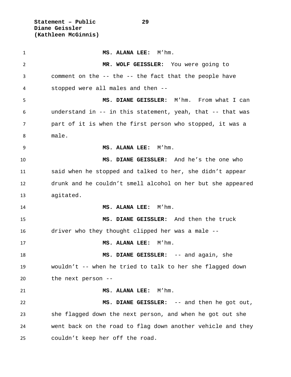**Statement – Public 29 Diane Geissler (Kathleen McGinnis)**

 **MS. ALANA LEE:** M'hm. **MR. WOLF GEISSLER:** You were going to comment on the -- the -- the fact that the people have stopped were all males and then -- **MS. DIANE GEISSLER:** M'hm. From what I can understand in -- in this statement, yeah, that -- that was part of it is when the first person who stopped, it was a male. **MS. ALANA LEE:** M'hm. **MS. DIANE GEISSLER:** And he's the one who said when he stopped and talked to her, she didn't appear drunk and he couldn't smell alcohol on her but she appeared agitated. **MS. ALANA LEE:** M'hm. **MS. DIANE GEISSLER:** And then the truck driver who they thought clipped her was a male -- **MS. ALANA LEE:** M'hm. **MS. DIANE GEISSLER:** -- and again, she wouldn't -- when he tried to talk to her she flagged down the next person -- **MS. ALANA LEE:** M'hm. **MS. DIANE GEISSLER:** -- and then he got out, she flagged down the next person, and when he got out she went back on the road to flag down another vehicle and they couldn't keep her off the road.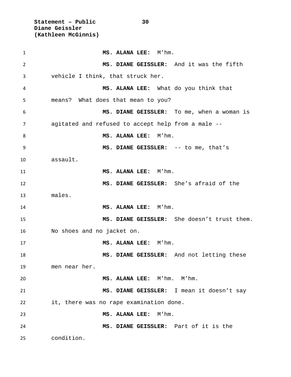**Statement – Public 30 Diane Geissler (Kathleen McGinnis)**

 **MS. ALANA LEE:** M'hm. **MS. DIANE GEISSLER:** And it was the fifth vehicle I think, that struck her. **MS. ALANA LEE:** What do you think that means? What does that mean to you? **MS. DIANE GEISSLER:** To me, when a woman is agitated and refused to accept help from a male -- 8 MS. ALANA LEE: M'hm. **MS. DIANE GEISSLER:** -- to me, that's assault. **MS. ALANA LEE:** M'hm. **MS. DIANE GEISSLER:** She's afraid of the males. **MS. ALANA LEE:** M'hm. **MS. DIANE GEISSLER:** She doesn't trust them. No shoes and no jacket on. **MS. ALANA LEE:** M'hm. **MS. DIANE GEISSLER:** And not letting these men near her. **MS. ALANA LEE:** M'hm. M'hm. **MS. DIANE GEISSLER:** I mean it doesn't say it, there was no rape examination done. **MS. ALANA LEE:** M'hm. **MS. DIANE GEISSLER:** Part of it is the condition.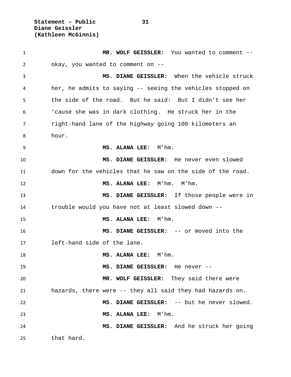**Statement – Public 31 Diane Geissler (Kathleen McGinnis)**

 **MR. WOLF GEISSLER:** You wanted to comment -- okay, you wanted to comment on -- **MS. DIANE GEISSLER:** When the vehicle struck her, he admits to saying -- seeing the vehicles stopped on the side of the road. But he said: But I didn't see her 'cause she was in dark clothing. He struck her in the right-hand lane of the highway going 100 kilometers an hour. **MS. ALANA LEE:** M'hm. **MS. DIANE GEISSLER:** He never even slowed down for the vehicles that he saw on the side of the road. **MS. ALANA LEE:** M'hm. M'hm. **MS. DIANE GEISSLER:** If those people were in trouble would you have not at least slowed down -- **MS. ALANA LEE:** M'hm. **MS. DIANE GEISSLER:** -- or moved into the left-hand side of the lane. **MS. ALANA LEE:** M'hm. **MS. DIANE GEISSLER:** He never -- **MR. WOLF GEISSLER:** They said there were hazards, there were -- they all said they had hazards on. **MS. DIANE GEISSLER:** -- but he never slowed. **MS. ALANA LEE:** M'hm. **MS. DIANE GEISSLER:** And he struck her going that hard.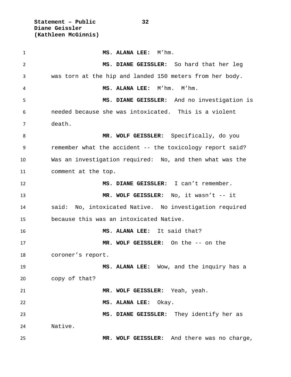**Statement – Public 32 Diane Geissler (Kathleen McGinnis)**

 **MS. ALANA LEE:** M'hm. **MS. DIANE GEISSLER:** So hard that her leg was torn at the hip and landed 150 meters from her body. **MS. ALANA LEE:** M'hm. M'hm. **MS. DIANE GEISSLER:** And no investigation is needed because she was intoxicated. This is a violent death. **MR. WOLF GEISSLER:** Specifically, do you remember what the accident -- the toxicology report said? Was an investigation required: No, and then what was the comment at the top. **MS. DIANE GEISSLER:** I can't remember. **MR. WOLF GEISSLER:** No, it wasn't -- it said: No, intoxicated Native. No investigation required because this was an intoxicated Native. **MS. ALANA LEE:** It said that? **MR. WOLF GEISSLER:** On the -- on the coroner's report. **MS. ALANA LEE:** Wow, and the inquiry has a copy of that? **MR. WOLF GEISSLER:** Yeah, yeah. **MS. ALANA LEE:** Okay. **MS. DIANE GEISSLER:** They identify her as Native. **MR. WOLF GEISSLER:** And there was no charge,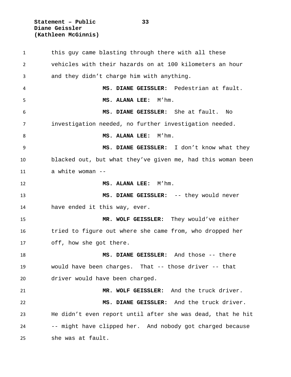**Statement – Public 33 Diane Geissler (Kathleen McGinnis)**

 this guy came blasting through there with all these vehicles with their hazards on at 100 kilometers an hour and they didn't charge him with anything. **MS. DIANE GEISSLER:** Pedestrian at fault. **MS. ALANA LEE:** M'hm. **MS. DIANE GEISSLER:** She at fault. No investigation needed, no further investigation needed. 8 MS. ALANA LEE: M'hm. **MS. DIANE GEISSLER:** I don't know what they blacked out, but what they've given me, had this woman been a white woman -- **MS. ALANA LEE:** M'hm. **MS. DIANE GEISSLER:** -- they would never have ended it this way, ever. **MR. WOLF GEISSLER:** They would've either tried to figure out where she came from, who dropped her off, how she got there. **MS. DIANE GEISSLER:** And those -- there would have been charges. That -- those driver -- that driver would have been charged. **MR. WOLF GEISSLER:** And the truck driver. **MS. DIANE GEISSLER:** And the truck driver. He didn't even report until after she was dead, that he hit -- might have clipped her. And nobody got charged because she was at fault.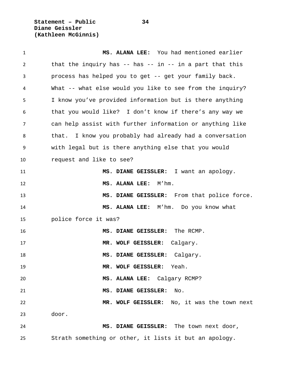**Statement – Public 34 Diane Geissler (Kathleen McGinnis)**

 **MS. ALANA LEE:** You had mentioned earlier 2 that the inquiry has -- has -- in -- in a part that this process has helped you to get -- get your family back. What -- what else would you like to see from the inquiry? I know you've provided information but is there anything that you would like? I don't know if there's any way we can help assist with further information or anything like that. I know you probably had already had a conversation with legal but is there anything else that you would request and like to see? **MS. DIANE GEISSLER:** I want an apology. **MS. ALANA LEE:** M'hm. **MS. DIANE GEISSLER:** From that police force. **MS. ALANA LEE:** M'hm. Do you know what police force it was? **MS. DIANE GEISSLER:** The RCMP. **MR. WOLF GEISSLER:** Calgary. **MS. DIANE GEISSLER:** Calgary. **MR. WOLF GEISSLER:** Yeah. **MS. ALANA LEE:** Calgary RCMP? **MS. DIANE GEISSLER:** No. **MR. WOLF GEISSLER:** No, it was the town next door. **MS. DIANE GEISSLER:** The town next door, Strath something or other, it lists it but an apology.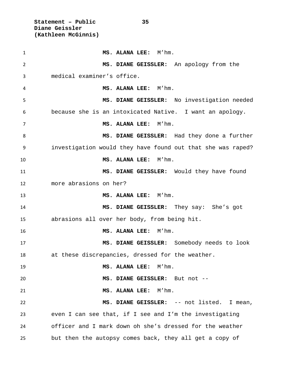**Statement – Public 35 Diane Geissler (Kathleen McGinnis)**

 **MS. ALANA LEE:** M'hm. **MS. DIANE GEISSLER:** An apology from the medical examiner's office. **MS. ALANA LEE:** M'hm. **MS. DIANE GEISSLER:** No investigation needed because she is an intoxicated Native. I want an apology. **MS. ALANA LEE:** M'hm. **MS. DIANE GEISSLER:** Had they done a further investigation would they have found out that she was raped? **MS. ALANA LEE:** M'hm. **MS. DIANE GEISSLER:** Would they have found more abrasions on her? **MS. ALANA LEE:** M'hm. **MS. DIANE GEISSLER:** They say: She's got abrasions all over her body, from being hit. **MS. ALANA LEE:** M'hm. **MS. DIANE GEISSLER:** Somebody needs to look at these discrepancies, dressed for the weather. **MS. ALANA LEE:** M'hm. **MS. DIANE GEISSLER:** But not -- **MS. ALANA LEE:** M'hm. **MS. DIANE GEISSLER:** -- not listed. I mean, even I can see that, if I see and I'm the investigating officer and I mark down oh she's dressed for the weather but then the autopsy comes back, they all get a copy of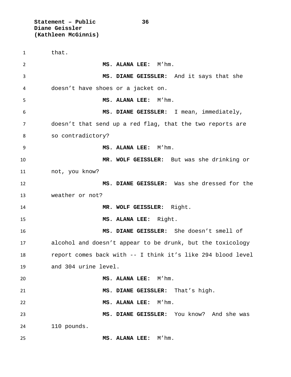**Statement – Public 36 Diane Geissler (Kathleen McGinnis)**

 that. **MS. ALANA LEE:** M'hm. **MS. DIANE GEISSLER:** And it says that she doesn't have shoes or a jacket on. **MS. ALANA LEE:** M'hm. **MS. DIANE GEISSLER:** I mean, immediately, doesn't that send up a red flag, that the two reports are so contradictory? **MS. ALANA LEE:** M'hm. **MR. WOLF GEISSLER:** But was she drinking or not, you know? **MS. DIANE GEISSLER:** Was she dressed for the weather or not? **MR. WOLF GEISSLER:** Right. **MS. ALANA LEE:** Right. **MS. DIANE GEISSLER:** She doesn't smell of alcohol and doesn't appear to be drunk, but the toxicology report comes back with -- I think it's like 294 blood level and 304 urine level. **MS. ALANA LEE:** M'hm. **MS. DIANE GEISSLER:** That's high. **MS. ALANA LEE:** M'hm. **MS. DIANE GEISSLER:** You know? And she was 110 pounds. **MS. ALANA LEE:** M'hm.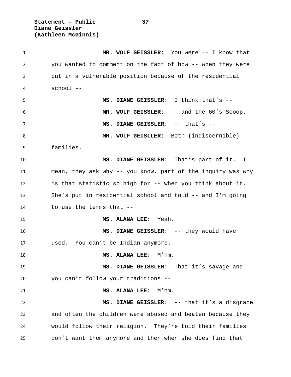**Statement – Public 37 Diane Geissler (Kathleen McGinnis)**

| 1  | MR. WOLF GEISSLER: You were -- I know that                  |
|----|-------------------------------------------------------------|
| 2  | you wanted to comment on the fact of how -- when they were  |
| 3  | put in a vulnerable position because of the residential     |
| 4  | school --                                                   |
| 5  | MS. DIANE GEISSLER: I think that's --                       |
| 6  | MR. WOLF GEISSLER: -- and the 60's Scoop.                   |
| 7  | MS. DIANE GEISSLER: -- that's --                            |
| 8  | MR. WOLF GEISLLER: Both (indiscernible)                     |
| 9  | families.                                                   |
| 10 | MS. DIANE GEISSLER: That's part of it. I                    |
| 11 | mean, they ask why -- you know, part of the inquiry was why |
| 12 | is that statistic so high for -- when you think about it.   |
| 13 | She's put in residential school and told -- and I'm going   |
| 14 | to use the terms that --                                    |
| 15 | MS. ALANA LEE: Yeah.                                        |
| 16 | MS. DIANE GEISSLER: -- they would have                      |
| 17 | used. You can't be Indian anymore.                          |
| 18 | MS. ALANA LEE:<br>M'hm.                                     |
| 19 | MS. DIANE GEISSLER: That it's savage and                    |
| 20 | you can't follow your traditions --                         |
| 21 | MS. ALANA LEE:<br>M'hm.                                     |
| 22 | MS. DIANE GEISSLER: -- that it's a disgrace                 |
| 23 | and often the children were abused and beaten because they  |
| 24 | would follow their religion. They're told their families    |
| 25 | don't want them anymore and then when she does find that    |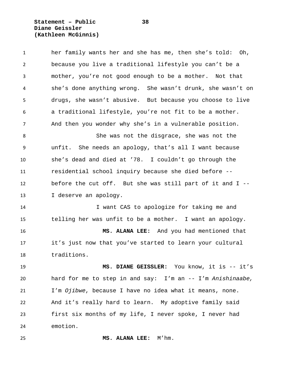**Statement – Public 38 Diane Geissler (Kathleen McGinnis)**

| $\mathbf{1}$   | her family wants her and she has me, then she's told: Oh,  |
|----------------|------------------------------------------------------------|
| $\overline{2}$ | because you live a traditional lifestyle you can't be a    |
| 3              | mother, you're not good enough to be a mother. Not that    |
| 4              | she's done anything wrong. She wasn't drunk, she wasn't on |
| 5              | drugs, she wasn't abusive. But because you choose to live  |
| 6              | a traditional lifestyle, you're not fit to be a mother.    |
| $\overline{7}$ | And then you wonder why she's in a vulnerable position.    |
| 8              | She was not the disgrace, she was not the                  |
| 9              | unfit. She needs an apology, that's all I want because     |
| 10             | she's dead and died at '78. I couldn't go through the      |
| 11             | residential school inquiry because she died before --      |
| 12             | before the cut off. But she was still part of it and I --  |
| 13             | I deserve an apology.                                      |
| 14             | I want CAS to apologize for taking me and                  |
| 15             | telling her was unfit to be a mother. I want an apology.   |
| 16             | MS. ALANA LEE: And you had mentioned that                  |
| 17             | it's just now that you've started to learn your cultural   |
| 18             | traditions.                                                |
| 19             | MS. DIANE GEISSLER: You know, it is -- it's                |
| 20             | hard for me to step in and say: I'm an -- I'm Anishinaabe, |
| 21             | I'm Ojibwe, because I have no idea what it means, none.    |
| 22             | And it's really hard to learn. My adoptive family said     |
| 23             | first six months of my life, I never spoke, I never had    |
| 24             | emotion.                                                   |
| 25             | MS. ALANA LEE: M'hm.                                       |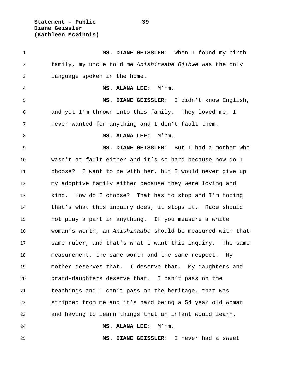**Statement – Public 39 Diane Geissler (Kathleen McGinnis)**

 **MS. DIANE GEISSLER:** When I found my birth family, my uncle told me *Anishinaabe Ojibwe* was the only language spoken in the home. **MS. ALANA LEE:** M'hm. **MS. DIANE GEISSLER:** I didn't know English, and yet I'm thrown into this family. They loved me, I never wanted for anything and I don't fault them. 8 MS. ALANA LEE: M'hm. **MS. DIANE GEISSLER:** But I had a mother who wasn't at fault either and it's so hard because how do I choose? I want to be with her, but I would never give up my adoptive family either because they were loving and kind. How do I choose? That has to stop and I'm hoping that's what this inquiry does, it stops it. Race should not play a part in anything. If you measure a white woman's worth, an *Anishinaabe* should be measured with that same ruler, and that's what I want this inquiry. The same measurement, the same worth and the same respect. My mother deserves that. I deserve that. My daughters and grand-daughters deserve that. I can't pass on the teachings and I can't pass on the heritage, that was stripped from me and it's hard being a 54 year old woman and having to learn things that an infant would learn. **MS. ALANA LEE:** M'hm.

**MS. DIANE GEISSLER:** I never had a sweet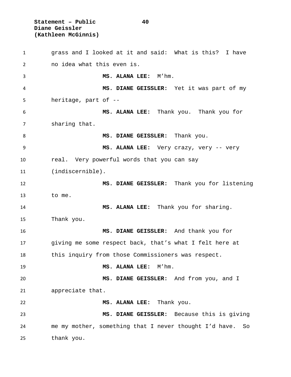**Statement – Public 40 Diane Geissler (Kathleen McGinnis)**

 grass and I looked at it and said: What is this? I have no idea what this even is. **MS. ALANA LEE:** M'hm. **MS. DIANE GEISSLER:** Yet it was part of my heritage, part of -- **MS. ALANA LEE:** Thank you. Thank you for sharing that. **MS. DIANE GEISSLER:** Thank you. **MS. ALANA LEE:** Very crazy, very -- very real. Very powerful words that you can say (indiscernible). **MS. DIANE GEISSLER:** Thank you for listening to me. **MS. ALANA LEE:** Thank you for sharing. Thank you. **MS. DIANE GEISSLER:** And thank you for giving me some respect back, that's what I felt here at this inquiry from those Commissioners was respect. **MS. ALANA LEE:** M'hm. **MS. DIANE GEISSLER:** And from you, and I appreciate that. **MS. ALANA LEE:** Thank you. **MS. DIANE GEISSLER:** Because this is giving me my mother, something that I never thought I'd have. So thank you.